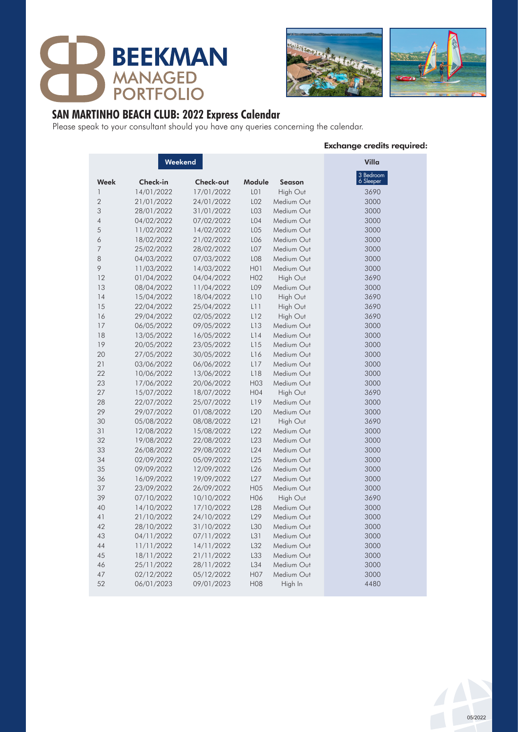





## **SAN MARTINHO BEACH CLUB: 2022 Express Calendar**

Please speak to your consultant should you have any queries concerning the calendar.

#### Exchange credits required:

|                | Weekend    | Villa      |                  |               |                        |
|----------------|------------|------------|------------------|---------------|------------------------|
| Week           | Check-in   | Check-out  | Module           | <b>Season</b> | 3 Bedroom<br>6 Sleeper |
| 1              | 14/01/2022 | 17/01/2022 | LO <sub>1</sub>  | High Out      | 3690                   |
| $\overline{2}$ | 21/01/2022 | 24/01/2022 | L02              | Medium Out    | 3000                   |
| 3              | 28/01/2022 | 31/01/2022 | LO <sub>3</sub>  | Medium Out    | 3000                   |
| $\overline{4}$ | 04/02/2022 | 07/02/2022 | L04              | Medium Out    | 3000                   |
| 5              | 11/02/2022 | 14/02/2022 | LO <sub>5</sub>  | Medium Out    | 3000                   |
| 6              | 18/02/2022 | 21/02/2022 | L06              | Medium Out    | 3000                   |
| 7              | 25/02/2022 | 28/02/2022 | LO <sub>7</sub>  | Medium Out    | 3000                   |
| 8              | 04/03/2022 | 07/03/2022 | L <sub>0</sub> 8 | Medium Out    | 3000                   |
| 9              | 11/03/2022 | 14/03/2022 | H01              | Medium Out    | 3000                   |
| 12             | 01/04/2022 | 04/04/2022 | H <sub>02</sub>  | High Out      | 3690                   |
| 13             | 08/04/2022 | 11/04/2022 | L09              | Medium Out    | 3000                   |
| 14             | 15/04/2022 | 18/04/2022 | L10              | High Out      | 3690                   |
| 15             | 22/04/2022 | 25/04/2022 | L11              | High Out      | 3690                   |
| 16             | 29/04/2022 | 02/05/2022 | L12              | High Out      | 3690                   |
| 17             | 06/05/2022 | 09/05/2022 | L13              | Medium Out    | 3000                   |
| 18             | 13/05/2022 | 16/05/2022 | L14              | Medium Out    | 3000                   |
| 19             | 20/05/2022 | 23/05/2022 | L15              | Medium Out    | 3000                   |
| 20             | 27/05/2022 | 30/05/2022 | L16              | Medium Out    | 3000                   |
| 21             | 03/06/2022 | 06/06/2022 | L17              | Medium Out    | 3000                   |
| 22             | 10/06/2022 | 13/06/2022 | L18              | Medium Out    | 3000                   |
| 23             | 17/06/2022 | 20/06/2022 | H <sub>03</sub>  | Medium Out    | 3000                   |
| 27             | 15/07/2022 | 18/07/2022 | H04              | High Out      | 3690                   |
| 28             | 22/07/2022 | 25/07/2022 | L19              | Medium Out    | 3000                   |
| 29             | 29/07/2022 | 01/08/2022 | L <sub>20</sub>  | Medium Out    | 3000                   |
| 30             | 05/08/2022 | 08/08/2022 | L21              | High Out      | 3690                   |
| 31             | 12/08/2022 | 15/08/2022 | L22              | Medium Out    | 3000                   |
| 32             | 19/08/2022 | 22/08/2022 | L23              | Medium Out    | 3000                   |
| 33             | 26/08/2022 | 29/08/2022 | L24              | Medium Out    | 3000                   |
| 34             | 02/09/2022 | 05/09/2022 | L25              | Medium Out    | 3000                   |
| 35             | 09/09/2022 | 12/09/2022 | L26              | Medium Out    | 3000                   |
| 36             | 16/09/2022 | 19/09/2022 | L27              | Medium Out    | 3000                   |
| 37             | 23/09/2022 | 26/09/2022 | H <sub>05</sub>  | Medium Out    | 3000                   |
| 39             | 07/10/2022 | 10/10/2022 | H06              | High Out      | 3690                   |
| 40             | 14/10/2022 | 17/10/2022 | L <sub>28</sub>  | Medium Out    | 3000                   |
| 41             | 21/10/2022 | 24/10/2022 | L29              | Medium Out    | 3000                   |
| 42             | 28/10/2022 | 31/10/2022 | L30              | Medium Out    | 3000                   |
| 43             | 04/11/2022 | 07/11/2022 | L31              | Medium Out    | 3000                   |
| 44             | 11/11/2022 | 14/11/2022 | L32              | Medium Out    | 3000                   |
| 45             | 18/11/2022 | 21/11/2022 | L33              | Medium Out    | 3000                   |
| 46             | 25/11/2022 | 28/11/2022 | L34              | Medium Out    | 3000                   |
| 47             | 02/12/2022 | 05/12/2022 | H <sub>0</sub> 7 | Medium Out    | 3000                   |
| 52             | 06/01/2023 | 09/01/2023 | <b>H08</b>       | High In       | 4480                   |

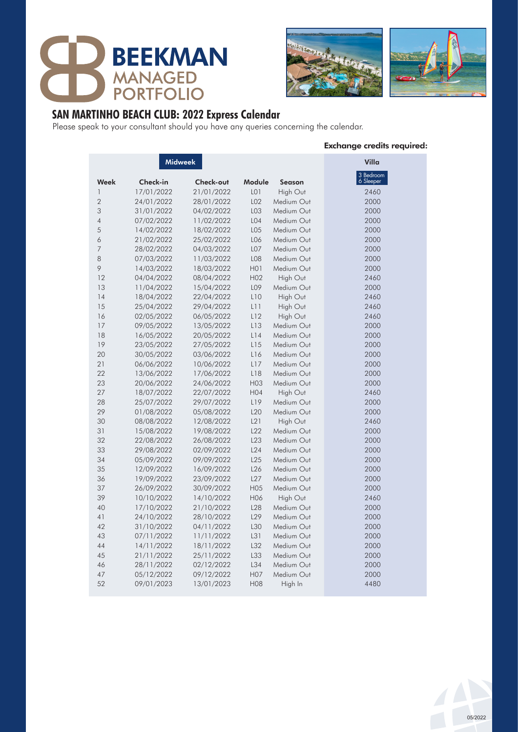





## **SAN MARTINHO BEACH CLUB: 2022 Express Calendar**

Please speak to your consultant should you have any queries concerning the calendar.

#### Exchange credits required:

|                | <b>Midweek</b> | Villa      |                  |               |                        |
|----------------|----------------|------------|------------------|---------------|------------------------|
| Week           | Check-in       | Check-out  | Module           | <b>Season</b> | 3 Bedroom<br>6 Sleeper |
| 1              | 17/01/2022     | 21/01/2022 | LO <sub>1</sub>  | High Out      | 2460                   |
| $\overline{2}$ | 24/01/2022     | 28/01/2022 | L02              | Medium Out    | 2000                   |
| 3              | 31/01/2022     | 04/02/2022 | LO <sub>3</sub>  | Medium Out    | 2000                   |
| $\overline{4}$ | 07/02/2022     | 11/02/2022 | L04              | Medium Out    | 2000                   |
| 5              | 14/02/2022     | 18/02/2022 | LO <sub>5</sub>  | Medium Out    | 2000                   |
| 6              | 21/02/2022     | 25/02/2022 | L06              | Medium Out    | 2000                   |
| 7              | 28/02/2022     | 04/03/2022 | LO <sub>7</sub>  | Medium Out    | 2000                   |
| 8              | 07/03/2022     | 11/03/2022 | L <sub>0</sub> 8 | Medium Out    | 2000                   |
| 9              | 14/03/2022     | 18/03/2022 | H <sub>0</sub> 1 | Medium Out    | 2000                   |
| 12             | 04/04/2022     | 08/04/2022 | H <sub>02</sub>  | High Out      | 2460                   |
| 13             | 11/04/2022     | 15/04/2022 | L09              | Medium Out    | 2000                   |
| 14             | 18/04/2022     | 22/04/2022 | L10              | High Out      | 2460                   |
| 15             | 25/04/2022     | 29/04/2022 | L11              | High Out      | 2460                   |
| 16             | 02/05/2022     | 06/05/2022 | L12              | High Out      | 2460                   |
| 17             | 09/05/2022     | 13/05/2022 | L13              | Medium Out    | 2000                   |
| 18             | 16/05/2022     | 20/05/2022 | L14              | Medium Out    | 2000                   |
| 19             | 23/05/2022     | 27/05/2022 | L15              | Medium Out    | 2000                   |
| 20             | 30/05/2022     | 03/06/2022 | L16              | Medium Out    | 2000                   |
| 21             | 06/06/2022     | 10/06/2022 | L17              | Medium Out    | 2000                   |
| 22             | 13/06/2022     | 17/06/2022 | L18              | Medium Out    | 2000                   |
| 23             | 20/06/2022     | 24/06/2022 | H <sub>03</sub>  | Medium Out    | 2000                   |
| 27             | 18/07/2022     | 22/07/2022 | H <sub>04</sub>  | High Out      | 2460                   |
| 28             | 25/07/2022     | 29/07/2022 | L19              | Medium Out    | 2000                   |
| 29             | 01/08/2022     | 05/08/2022 | L <sub>20</sub>  | Medium Out    | 2000                   |
| 30             | 08/08/2022     | 12/08/2022 | L21              | High Out      | 2460                   |
| 31             | 15/08/2022     | 19/08/2022 | L22              | Medium Out    | 2000                   |
| 32             | 22/08/2022     | 26/08/2022 | L23              | Medium Out    | 2000                   |
| 33             | 29/08/2022     | 02/09/2022 | L24              | Medium Out    | 2000                   |
| 34             | 05/09/2022     | 09/09/2022 | L25              | Medium Out    | 2000                   |
| 35             | 12/09/2022     | 16/09/2022 | L26              | Medium Out    | 2000                   |
| 36             | 19/09/2022     | 23/09/2022 | L27              | Medium Out    | 2000                   |
| 37             | 26/09/2022     | 30/09/2022 | H <sub>05</sub>  | Medium Out    | 2000                   |
| 39             | 10/10/2022     | 14/10/2022 | H06              | High Out      | 2460                   |
| 40             | 17/10/2022     | 21/10/2022 | L <sub>28</sub>  | Medium Out    | 2000                   |
| 41             | 24/10/2022     | 28/10/2022 | L29              | Medium Out    | 2000                   |
| 42             | 31/10/2022     | 04/11/2022 | L30              | Medium Out    | 2000                   |
| 43             | 07/11/2022     | 11/11/2022 | L31              | Medium Out    | 2000                   |
| 44             | 14/11/2022     | 18/11/2022 | L32              | Medium Out    | 2000                   |
| 45             | 21/11/2022     | 25/11/2022 | L33              | Medium Out    | 2000                   |
| 46             | 28/11/2022     | 02/12/2022 | L34              | Medium Out    | 2000                   |
| 47             | 05/12/2022     | 09/12/2022 | H07              | Medium Out    | 2000                   |
| 52             | 09/01/2023     | 13/01/2023 | <b>H08</b>       | High In       | 4480                   |